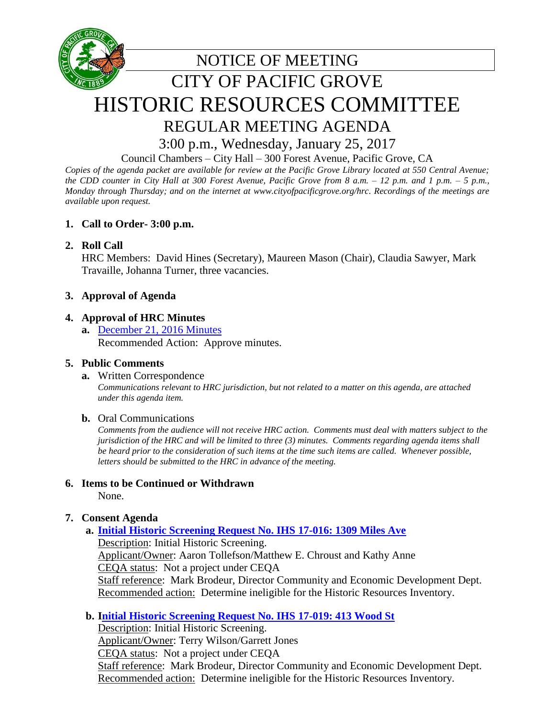

REGULAR MEETING AGENDA

3:00 p.m., Wednesday, January 25, 2017

Council Chambers – City Hall – 300 Forest Avenue, Pacific Grove, CA

*Copies of the agenda packet are available for review at the Pacific Grove Library located at 550 Central Avenue; the CDD counter in City Hall at 300 Forest Avenue, Pacific Grove from 8 a.m. – 12 p.m. and 1 p.m. – 5 p.m., Monday through Thursday; and on the internet at www.cityofpacificgrove.org/hrc. Recordings of the meetings are available upon request.* 

# **1. Call to Order- 3:00 p.m.**

# **2. Roll Call**

HRC Members: David Hines (Secretary), Maureen Mason (Chair), Claudia Sawyer, Mark Travaille, Johanna Turner, three vacancies.

# **3. Approval of Agenda**

# **4. Approval of HRC Minutes**

**a.** [December 21,](http://www.cityofpacificgrove.org/sites/default/files/historic-resources-committee/2017/1-25-2017/historic-resources-committee-1-25-2017-item-4a-12-21-16-hrc-minutes.pdf) 2016 Minutes Recommended Action: Approve minutes.

# **5. Public Comments**

# **a.** Written Correspondence

*Communications relevant to HRC jurisdiction, but not related to a matter on this agenda, are attached under this agenda item.*

#### **b.** Oral Communications

*Comments from the audience will not receive HRC action. Comments must deal with matters subject to the jurisdiction of the HRC and will be limited to three (3) minutes. Comments regarding agenda items shall be heard prior to the consideration of such items at the time such items are called. Whenever possible, letters should be submitted to the HRC in advance of the meeting.*

# **6. Items to be Continued or Withdrawn**

None.

# **7. Consent Agenda**

# **a. [Initial Historic Screening Request No. IHS 17-016: 1309 Miles Ave](http://www.cityofpacificgrove.org/sites/default/files/historic-resources-committee/2017/1-25-2017/historic-resources-committee-1-25-2017-item-7a-1309-miles-ave.pdf)**

Description: Initial Historic Screening. Applicant/Owner: Aaron Tollefson/Matthew E. Chroust and Kathy Anne CEQA status: Not a project under CEQA Staff reference: Mark Brodeur, Director Community and Economic Development Dept. Recommended action: Determine ineligible for the Historic Resources Inventory.

# **b. [Initial Historic Screening Request No. IHS 17-019: 413 Wood St](http://www.cityofpacificgrove.org/sites/default/files/historic-resources-committee/2017/1-25-2017/historic-resources-committee-1-25-2017-item-7b-413-wood-st.pdf)**

Description: Initial Historic Screening. Applicant/Owner: Terry Wilson/Garrett Jones CEQA status:Not a project under CEQA Staff reference: Mark Brodeur, Director Community and Economic Development Dept. Recommended action: Determine ineligible for the Historic Resources Inventory.